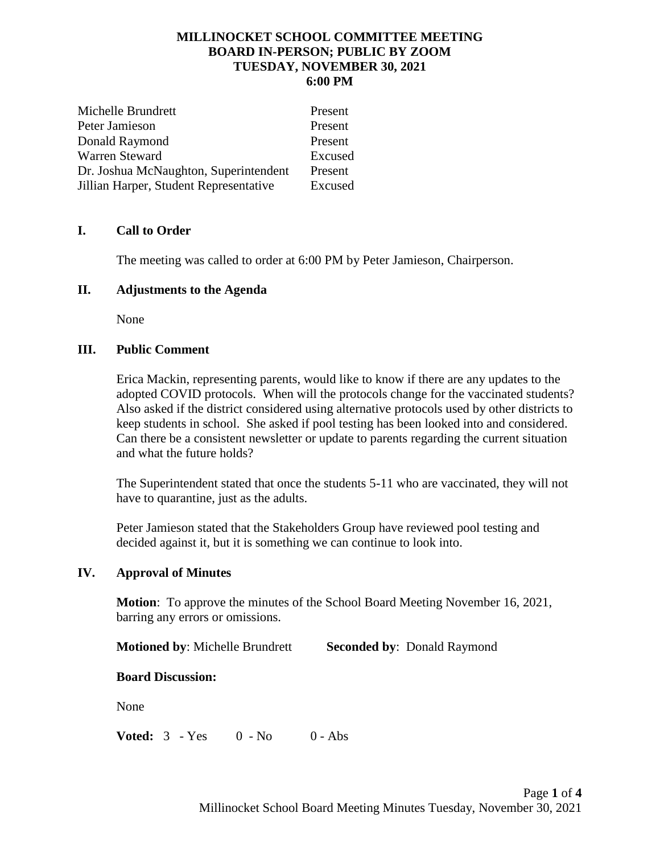## **MILLINOCKET SCHOOL COMMITTEE MEETING BOARD IN-PERSON; PUBLIC BY ZOOM TUESDAY, NOVEMBER 30, 2021 6:00 PM**

| Michelle Brundrett                     | Present |
|----------------------------------------|---------|
| Peter Jamieson                         | Present |
| Donald Raymond                         | Present |
| Warren Steward                         | Excused |
| Dr. Joshua McNaughton, Superintendent  | Present |
| Jillian Harper, Student Representative | Excused |

# **I. Call to Order**

The meeting was called to order at 6:00 PM by Peter Jamieson, Chairperson.

## **II. Adjustments to the Agenda**

None

## **III. Public Comment**

Erica Mackin, representing parents, would like to know if there are any updates to the adopted COVID protocols. When will the protocols change for the vaccinated students? Also asked if the district considered using alternative protocols used by other districts to keep students in school. She asked if pool testing has been looked into and considered. Can there be a consistent newsletter or update to parents regarding the current situation and what the future holds?

The Superintendent stated that once the students 5-11 who are vaccinated, they will not have to quarantine, just as the adults.

Peter Jamieson stated that the Stakeholders Group have reviewed pool testing and decided against it, but it is something we can continue to look into.

## **IV. Approval of Minutes**

**Motion**: To approve the minutes of the School Board Meeting November 16, 2021, barring any errors or omissions.

**Motioned by: Michelle Brundrett Seconded by: Donald Raymond** 

## **Board Discussion:**

None

**Voted:**  $3 - Yes$  0 - No 0 - Abs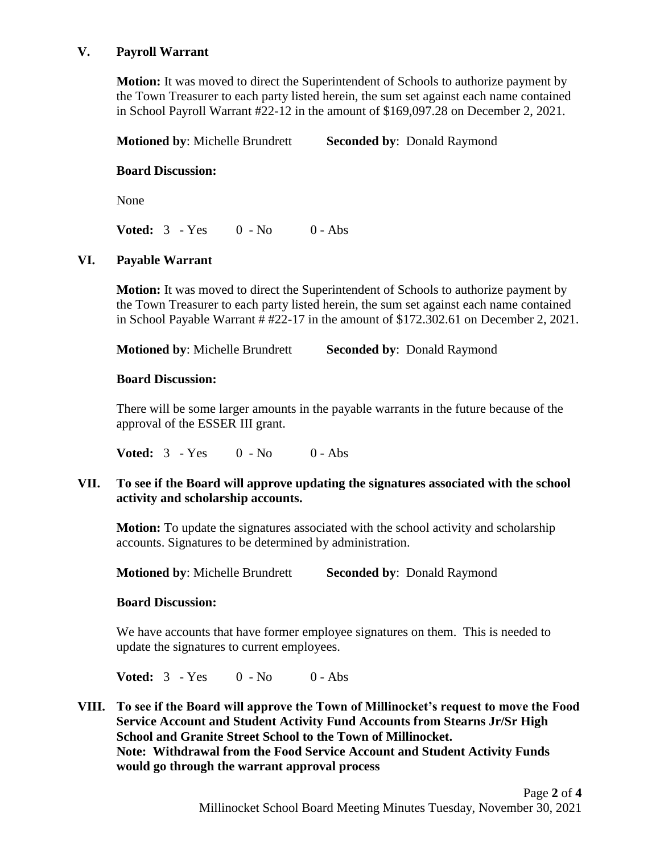## **V. Payroll Warrant**

**Motion:** It was moved to direct the Superintendent of Schools to authorize payment by the Town Treasurer to each party listed herein, the sum set against each name contained in School Payroll Warrant #22-12 in the amount of \$169,097.28 on December 2, 2021.

**Motioned by**: Michelle Brundrett **Seconded by**: Donald Raymond

## **Board Discussion:**

None

**Voted:**  $3 - Yes$  0 - No 0 - Abs

## **VI. Payable Warrant**

**Motion:** It was moved to direct the Superintendent of Schools to authorize payment by the Town Treasurer to each party listed herein, the sum set against each name contained in School Payable Warrant # #22-17 in the amount of \$172.302.61 on December 2, 2021.

**Motioned by: Michelle Brundrett Seconded by: Donald Raymond** 

## **Board Discussion:**

There will be some larger amounts in the payable warrants in the future because of the approval of the ESSER III grant.

**Voted:**  $3 - Yes$  0 - No 0 - Abs

## **VII. To see if the Board will approve updating the signatures associated with the school activity and scholarship accounts.**

**Motion:** To update the signatures associated with the school activity and scholarship accounts. Signatures to be determined by administration.

**Motioned by**: Michelle Brundrett **Seconded by**: Donald Raymond

## **Board Discussion:**

We have accounts that have former employee signatures on them. This is needed to update the signatures to current employees.

**Voted:**  $3 - Yes$  0 - No 0 - Abs

**VIII. To see if the Board will approve the Town of Millinocket's request to move the Food Service Account and Student Activity Fund Accounts from Stearns Jr/Sr High School and Granite Street School to the Town of Millinocket. Note: Withdrawal from the Food Service Account and Student Activity Funds would go through the warrant approval process**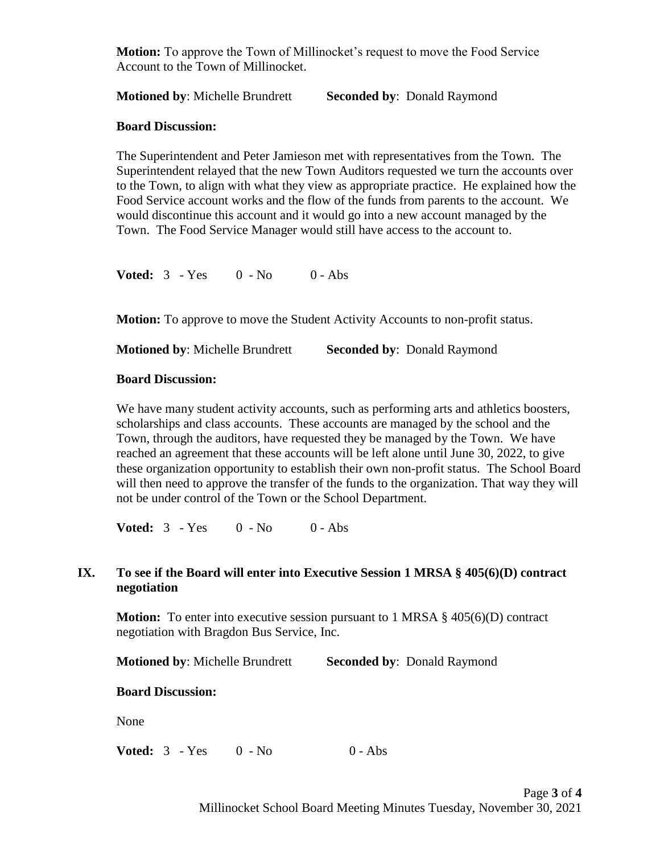**Motion:** To approve the Town of Millinocket's request to move the Food Service Account to the Town of Millinocket.

**Motioned by: Michelle Brundrett Seconded by: Donald Raymond** 

## **Board Discussion:**

The Superintendent and Peter Jamieson met with representatives from the Town. The Superintendent relayed that the new Town Auditors requested we turn the accounts over to the Town, to align with what they view as appropriate practice. He explained how the Food Service account works and the flow of the funds from parents to the account. We would discontinue this account and it would go into a new account managed by the Town. The Food Service Manager would still have access to the account to.

**Voted:**  $3 - Yes$  0 - No 0 - Abs

**Motion:** To approve to move the Student Activity Accounts to non-profit status.

**Motioned by: Michelle Brundrett Seconded by: Donald Raymond** 

## **Board Discussion:**

We have many student activity accounts, such as performing arts and athletics boosters, scholarships and class accounts. These accounts are managed by the school and the Town, through the auditors, have requested they be managed by the Town. We have reached an agreement that these accounts will be left alone until June 30, 2022, to give these organization opportunity to establish their own non-profit status. The School Board will then need to approve the transfer of the funds to the organization. That way they will not be under control of the Town or the School Department.

**Voted:**  $3 - Yes$  0 - No 0 - Abs

## **IX. To see if the Board will enter into Executive Session 1 MRSA § 405(6)(D) contract negotiation**

**Motion:** To enter into executive session pursuant to 1 MRSA § 405(6)(D) contract negotiation with Bragdon Bus Service, Inc.

**Motioned by: Michelle Brundrett Seconded by: Donald Raymond** 

## **Board Discussion:**

None

**Voted:**  $3 - Yes$  0 - No 0 - Abs